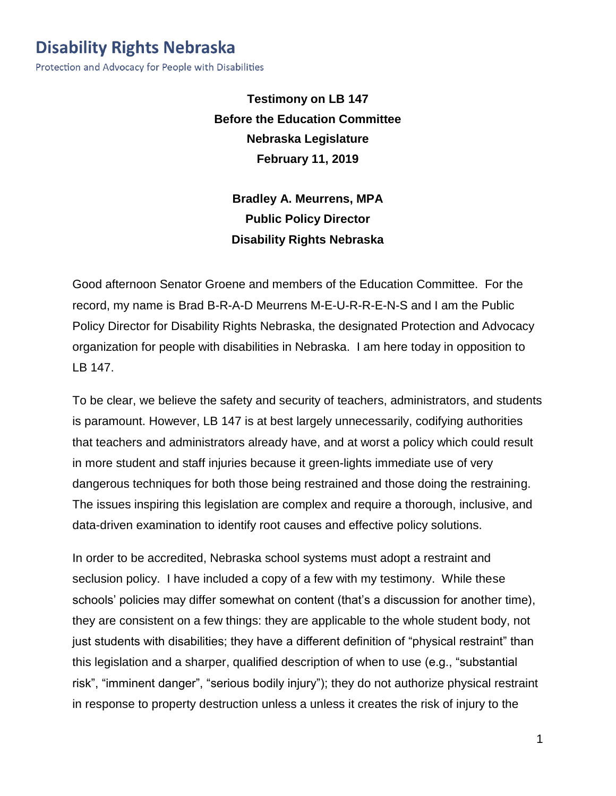## **Disability Rights Nebraska**

Protection and Advocacy for People with Disabilities

**Testimony on LB 147 Before the Education Committee Nebraska Legislature February 11, 2019**

**Bradley A. Meurrens, MPA Public Policy Director Disability Rights Nebraska**

Good afternoon Senator Groene and members of the Education Committee. For the record, my name is Brad B-R-A-D Meurrens M-E-U-R-R-E-N-S and I am the Public Policy Director for Disability Rights Nebraska, the designated Protection and Advocacy organization for people with disabilities in Nebraska. I am here today in opposition to LB 147.

To be clear, we believe the safety and security of teachers, administrators, and students is paramount. However, LB 147 is at best largely unnecessarily, codifying authorities that teachers and administrators already have, and at worst a policy which could result in more student and staff injuries because it green-lights immediate use of very dangerous techniques for both those being restrained and those doing the restraining. The issues inspiring this legislation are complex and require a thorough, inclusive, and data-driven examination to identify root causes and effective policy solutions.

In order to be accredited, Nebraska school systems must adopt a restraint and seclusion policy. I have included a copy of a few with my testimony. While these schools' policies may differ somewhat on content (that's a discussion for another time), they are consistent on a few things: they are applicable to the whole student body, not just students with disabilities; they have a different definition of "physical restraint" than this legislation and a sharper, qualified description of when to use (e.g., "substantial risk", "imminent danger", "serious bodily injury"); they do not authorize physical restraint in response to property destruction unless a unless it creates the risk of injury to the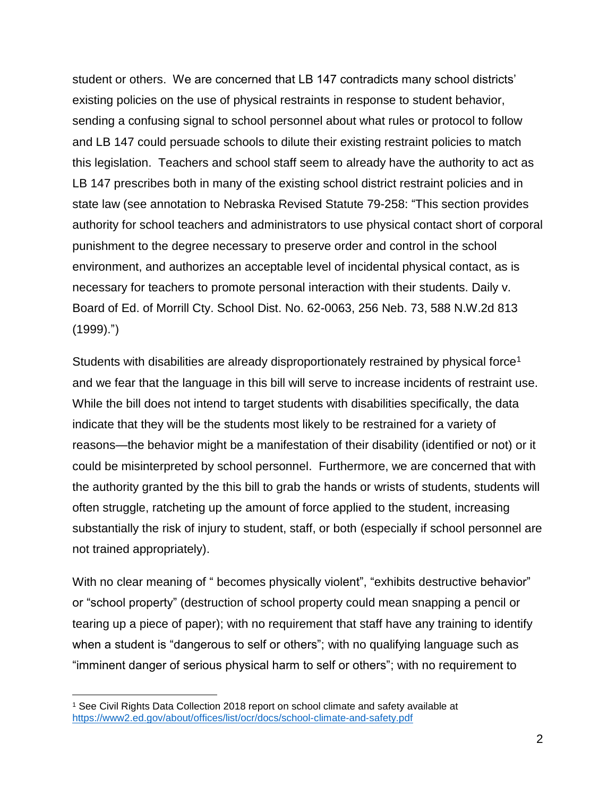student or others. We are concerned that LB 147 contradicts many school districts' existing policies on the use of physical restraints in response to student behavior, sending a confusing signal to school personnel about what rules or protocol to follow and LB 147 could persuade schools to dilute their existing restraint policies to match this legislation. Teachers and school staff seem to already have the authority to act as LB 147 prescribes both in many of the existing school district restraint policies and in state law (see annotation to Nebraska Revised Statute 79-258: "This section provides authority for school teachers and administrators to use physical contact short of corporal punishment to the degree necessary to preserve order and control in the school environment, and authorizes an acceptable level of incidental physical contact, as is necessary for teachers to promote personal interaction with their students. Daily v. Board of Ed. of Morrill Cty. School Dist. No. 62-0063, 256 Neb. 73, 588 N.W.2d 813 (1999).")

Students with disabilities are already disproportionately restrained by physical force<sup>1</sup> and we fear that the language in this bill will serve to increase incidents of restraint use. While the bill does not intend to target students with disabilities specifically, the data indicate that they will be the students most likely to be restrained for a variety of reasons—the behavior might be a manifestation of their disability (identified or not) or it could be misinterpreted by school personnel. Furthermore, we are concerned that with the authority granted by the this bill to grab the hands or wrists of students, students will often struggle, ratcheting up the amount of force applied to the student, increasing substantially the risk of injury to student, staff, or both (especially if school personnel are not trained appropriately).

With no clear meaning of " becomes physically violent", "exhibits destructive behavior" or "school property" (destruction of school property could mean snapping a pencil or tearing up a piece of paper); with no requirement that staff have any training to identify when a student is "dangerous to self or others"; with no qualifying language such as "imminent danger of serious physical harm to self or others"; with no requirement to

 $\overline{a}$ 

<sup>1</sup> See Civil Rights Data Collection 2018 report on school climate and safety available at <https://www2.ed.gov/about/offices/list/ocr/docs/school-climate-and-safety.pdf>